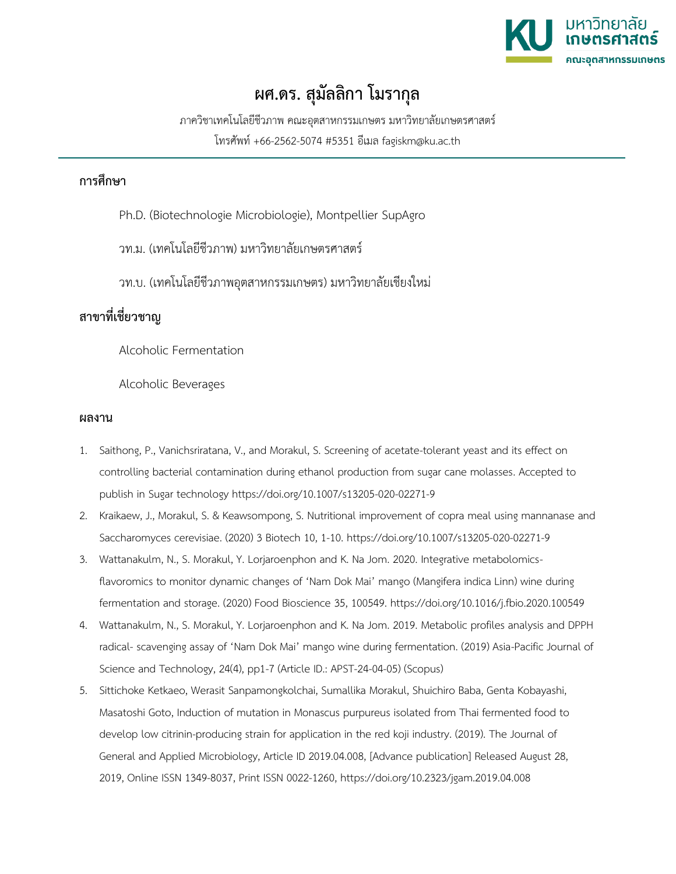

## **ผศ.ดร. สุมัลลิกา โมรากุล**

ภาควิชาเทคโนโลยีชีวภาพ คณะอุตสาหกรรมเกษตร มหาวิทยาลัยเกษตรศาสตร์ โทรศัพท์ +66-2562-5074 #5351 อีเมล fagiskm@ku.ac.th

## **การศึกษา**

- Ph.D. (Biotechnologie Microbiologie), Montpellier SupAgro
- วท.ม. (เทคโนโลยีชีวภาพ) มหาวิทยาลัยเกษตรศาสตร์
- วท.บ. (เทคโนโลยีชีวภาพอุตสาหกรรมเกษตร) มหาวิทยาลัยเชียงใหม่

## **สาขาที่เชี่ยวชาญ**

Alcoholic Fermentation

Alcoholic Beverages

## **ผลงาน**

- 1. Saithong, P., Vanichsriratana, V., and Morakul, S. Screening of acetate-tolerant yeast and its effect on controlling bacterial contamination during ethanol production from sugar cane molasses. Accepted to publish in Sugar technology https://doi.org/10.1007/s13205-020-02271-9
- 2. Kraikaew, J., Morakul, S. & Keawsompong, S. Nutritional improvement of copra meal using mannanase and Saccharomyces cerevisiae. (2020) 3 Biotech 10, 1-10. https://doi.org/10.1007/s13205-020-02271-9
- 3. Wattanakulm, N., S. Morakul, Y. Lorjaroenphon and K. Na Jom. 2020. Integrative metabolomicsflavoromics to monitor dynamic changes of 'Nam Dok Mai' mango (Mangifera indica Linn) wine during fermentation and storage. (2020) Food Bioscience 35, 100549. https://doi.org/10.1016/j.fbio.2020.100549
- 4. Wattanakulm, N., S. Morakul, Y. Lorjaroenphon and K. Na Jom. 2019. Metabolic profiles analysis and DPPH radical- scavenging assay of 'Nam Dok Mai' mango wine during fermentation. (2019) Asia-Pacific Journal of Science and Technology, 24(4), pp1-7 (Article ID.: APST-24-04-05) (Scopus)
- 5. Sittichoke Ketkaeo, Werasit Sanpamongkolchai, Sumallika Morakul, Shuichiro Baba, Genta Kobayashi, Masatoshi Goto, Induction of mutation in Monascus purpureus isolated from Thai fermented food to develop low citrinin-producing strain for application in the red koji industry. (2019). The Journal of General and Applied Microbiology, Article ID 2019.04.008, [Advance publication] Released August 28, 2019, Online ISSN 1349-8037, Print ISSN 0022-1260, https://doi.org/10.2323/jgam.2019.04.008